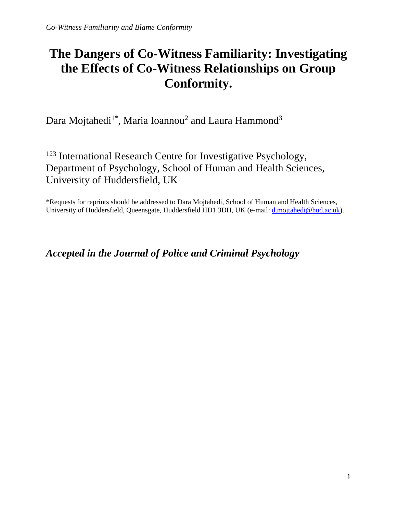# **The Dangers of Co-Witness Familiarity: Investigating the Effects of Co-Witness Relationships on Group Conformity.**

Dara Mojtahedi $^{1*}$ , Maria Ioannou<sup>2</sup> and Laura Hammond<sup>3</sup>

<sup>123</sup> International Research Centre for Investigative Psychology, Department of Psychology, School of Human and Health Sciences, University of Huddersfield, UK

\*Requests for reprints should be addressed to Dara Mojtahedi, School of Human and Health Sciences, University of Huddersfield, Queensgate, Huddersfield HD1 3DH, UK (e-mail: *d.mojtahedi@hud.ac.uk*).

*Accepted in the Journal of Police and Criminal Psychology*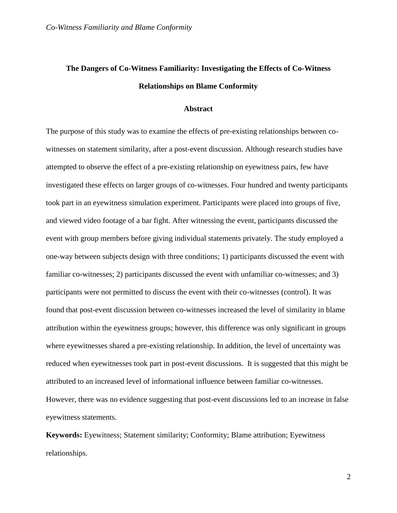## **The Dangers of Co-Witness Familiarity: Investigating the Effects of Co-Witness Relationships on Blame Conformity**

#### **Abstract**

The purpose of this study was to examine the effects of pre-existing relationships between cowitnesses on statement similarity, after a post-event discussion. Although research studies have attempted to observe the effect of a pre-existing relationship on eyewitness pairs, few have investigated these effects on larger groups of co-witnesses. Four hundred and twenty participants took part in an eyewitness simulation experiment. Participants were placed into groups of five, and viewed video footage of a bar fight. After witnessing the event, participants discussed the event with group members before giving individual statements privately. The study employed a one-way between subjects design with three conditions; 1) participants discussed the event with familiar co-witnesses; 2) participants discussed the event with unfamiliar co-witnesses; and 3) participants were not permitted to discuss the event with their co-witnesses (control). It was found that post-event discussion between co-witnesses increased the level of similarity in blame attribution within the eyewitness groups; however, this difference was only significant in groups where eyewitnesses shared a pre-existing relationship. In addition, the level of uncertainty was reduced when eyewitnesses took part in post-event discussions. It is suggested that this might be attributed to an increased level of informational influence between familiar co-witnesses. However, there was no evidence suggesting that post-event discussions led to an increase in false eyewitness statements.

**Keywords:** Eyewitness; Statement similarity; Conformity; Blame attribution; Eyewitness relationships.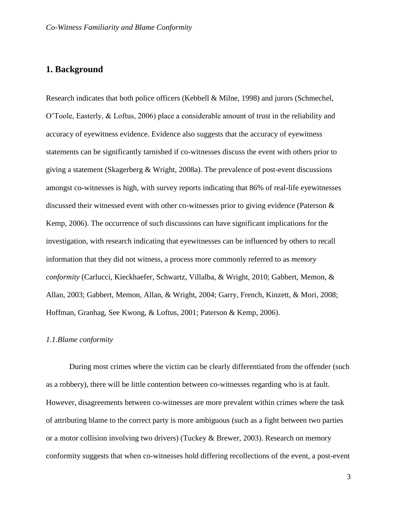## **1. Background**

Research indicates that both police officers (Kebbell & Milne, 1998) and jurors (Schmechel, O'Toole, Easterly, & Loftus, 2006) place a considerable amount of trust in the reliability and accuracy of eyewitness evidence. Evidence also suggests that the accuracy of eyewitness statements can be significantly tarnished if co-witnesses discuss the event with others prior to giving a statement (Skagerberg & Wright, 2008a). The prevalence of post-event discussions amongst co-witnesses is high, with survey reports indicating that 86% of real-life eyewitnesses discussed their witnessed event with other co-witnesses prior to giving evidence (Paterson & Kemp, 2006). The occurrence of such discussions can have significant implications for the investigation, with research indicating that eyewitnesses can be influenced by others to recall information that they did not witness, a process more commonly referred to as *memory conformity* (Carlucci, Kieckhaefer, Schwartz, Villalba, & Wright, 2010; Gabbert, Memon, & Allan, 2003; Gabbert, Memon, Allan, & Wright, 2004; Garry, French, Kinzett, & Mori, 2008; Hoffman, Granhag, See Kwong, & Loftus, 2001; Paterson & Kemp, 2006).

#### *1.1.Blame conformity*

During most crimes where the victim can be clearly differentiated from the offender (such as a robbery), there will be little contention between co-witnesses regarding who is at fault. However, disagreements between co-witnesses are more prevalent within crimes where the task of attributing blame to the correct party is more ambiguous (such as a fight between two parties or a motor collision involving two drivers) (Tuckey & Brewer, 2003). Research on memory conformity suggests that when co-witnesses hold differing recollections of the event, a post-event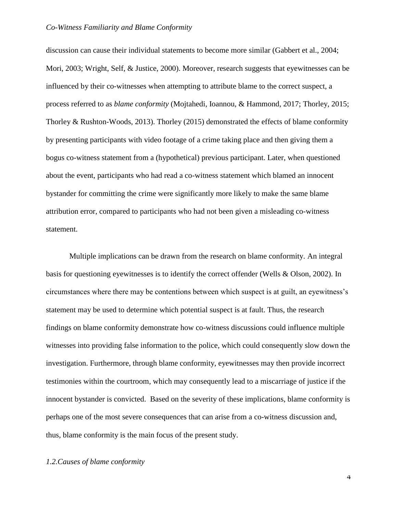discussion can cause their individual statements to become more similar (Gabbert et al., 2004; Mori, 2003; Wright, Self, & Justice, 2000). Moreover, research suggests that eyewitnesses can be influenced by their co-witnesses when attempting to attribute blame to the correct suspect, a process referred to as *blame conformity* (Mojtahedi, Ioannou, & Hammond, 2017; Thorley, 2015; Thorley & Rushton-Woods, 2013). Thorley (2015) demonstrated the effects of blame conformity by presenting participants with video footage of a crime taking place and then giving them a bogus co-witness statement from a (hypothetical) previous participant. Later, when questioned about the event, participants who had read a co-witness statement which blamed an innocent bystander for committing the crime were significantly more likely to make the same blame attribution error, compared to participants who had not been given a misleading co-witness statement.

Multiple implications can be drawn from the research on blame conformity. An integral basis for questioning eyewitnesses is to identify the correct offender (Wells & Olson, 2002). In circumstances where there may be contentions between which suspect is at guilt, an eyewitness's statement may be used to determine which potential suspect is at fault. Thus, the research findings on blame conformity demonstrate how co-witness discussions could influence multiple witnesses into providing false information to the police, which could consequently slow down the investigation. Furthermore, through blame conformity, eyewitnesses may then provide incorrect testimonies within the courtroom, which may consequently lead to a miscarriage of justice if the innocent bystander is convicted. Based on the severity of these implications, blame conformity is perhaps one of the most severe consequences that can arise from a co-witness discussion and, thus, blame conformity is the main focus of the present study.

#### *1.2.Causes of blame conformity*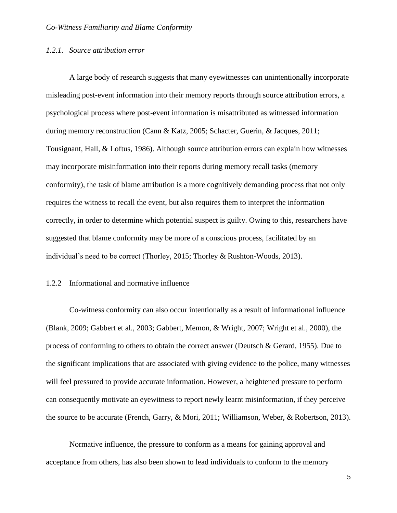#### *1.2.1. Source attribution error*

A large body of research suggests that many eyewitnesses can unintentionally incorporate misleading post-event information into their memory reports through source attribution errors, a psychological process where post-event information is misattributed as witnessed information during memory reconstruction (Cann & Katz, 2005; Schacter, Guerin, & Jacques, 2011; Tousignant, Hall, & Loftus, 1986). Although source attribution errors can explain how witnesses may incorporate misinformation into their reports during memory recall tasks (memory conformity), the task of blame attribution is a more cognitively demanding process that not only requires the witness to recall the event, but also requires them to interpret the information correctly, in order to determine which potential suspect is guilty. Owing to this, researchers have suggested that blame conformity may be more of a conscious process, facilitated by an individual's need to be correct (Thorley, 2015; Thorley & Rushton-Woods, 2013).

#### 1.2.2 Informational and normative influence

Co-witness conformity can also occur intentionally as a result of informational influence (Blank, 2009; Gabbert et al., 2003; Gabbert, Memon, & Wright, 2007; Wright et al., 2000), the process of conforming to others to obtain the correct answer (Deutsch & Gerard, 1955). Due to the significant implications that are associated with giving evidence to the police, many witnesses will feel pressured to provide accurate information. However, a heightened pressure to perform can consequently motivate an eyewitness to report newly learnt misinformation, if they perceive the source to be accurate (French, Garry, & Mori, 2011; Williamson, Weber, & Robertson, 2013).

Normative influence, the pressure to conform as a means for gaining approval and acceptance from others, has also been shown to lead individuals to conform to the memory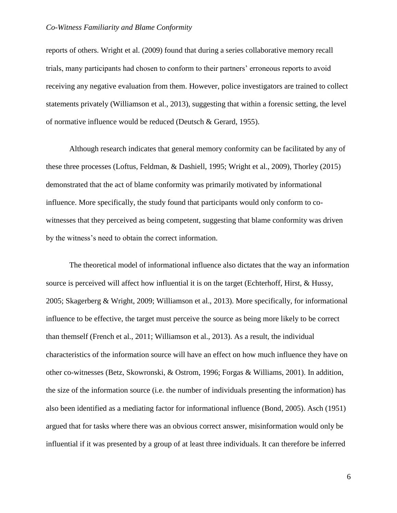reports of others. Wright et al. (2009) found that during a series collaborative memory recall trials, many participants had chosen to conform to their partners' erroneous reports to avoid receiving any negative evaluation from them. However, police investigators are trained to collect statements privately (Williamson et al., 2013), suggesting that within a forensic setting, the level of normative influence would be reduced (Deutsch & Gerard, 1955).

Although research indicates that general memory conformity can be facilitated by any of these three processes (Loftus, Feldman, & Dashiell, 1995; Wright et al., 2009), Thorley (2015) demonstrated that the act of blame conformity was primarily motivated by informational influence. More specifically, the study found that participants would only conform to cowitnesses that they perceived as being competent, suggesting that blame conformity was driven by the witness's need to obtain the correct information.

The theoretical model of informational influence also dictates that the way an information source is perceived will affect how influential it is on the target (Echterhoff, Hirst, & Hussy, 2005; Skagerberg & Wright, 2009; Williamson et al., 2013). More specifically, for informational influence to be effective, the target must perceive the source as being more likely to be correct than themself (French et al., 2011; Williamson et al., 2013). As a result, the individual characteristics of the information source will have an effect on how much influence they have on other co-witnesses (Betz, Skowronski, & Ostrom, 1996; Forgas & Williams, 2001). In addition, the size of the information source (i.e. the number of individuals presenting the information) has also been identified as a mediating factor for informational influence (Bond, 2005). Asch (1951) argued that for tasks where there was an obvious correct answer, misinformation would only be influential if it was presented by a group of at least three individuals. It can therefore be inferred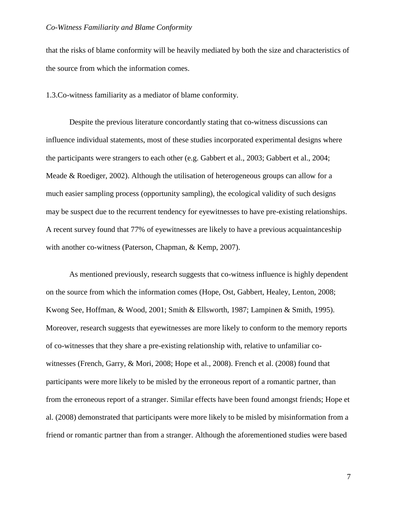that the risks of blame conformity will be heavily mediated by both the size and characteristics of the source from which the information comes.

1.3.Co-witness familiarity as a mediator of blame conformity.

Despite the previous literature concordantly stating that co-witness discussions can influence individual statements, most of these studies incorporated experimental designs where the participants were strangers to each other (e.g. Gabbert et al., 2003; Gabbert et al., 2004; Meade & Roediger, 2002). Although the utilisation of heterogeneous groups can allow for a much easier sampling process (opportunity sampling), the ecological validity of such designs may be suspect due to the recurrent tendency for eyewitnesses to have pre-existing relationships. A recent survey found that 77% of eyewitnesses are likely to have a previous acquaintanceship with another co-witness (Paterson, Chapman, & Kemp, 2007).

As mentioned previously, research suggests that co-witness influence is highly dependent on the source from which the information comes (Hope, Ost, Gabbert, Healey, Lenton, 2008; Kwong See, Hoffman, & Wood, 2001; Smith & Ellsworth, 1987; Lampinen & Smith, 1995). Moreover, research suggests that eyewitnesses are more likely to conform to the memory reports of co-witnesses that they share a pre-existing relationship with, relative to unfamiliar cowitnesses (French, Garry, & Mori, 2008; Hope et al., 2008). French et al. (2008) found that participants were more likely to be misled by the erroneous report of a romantic partner, than from the erroneous report of a stranger. Similar effects have been found amongst friends; Hope et al. (2008) demonstrated that participants were more likely to be misled by misinformation from a friend or romantic partner than from a stranger. Although the aforementioned studies were based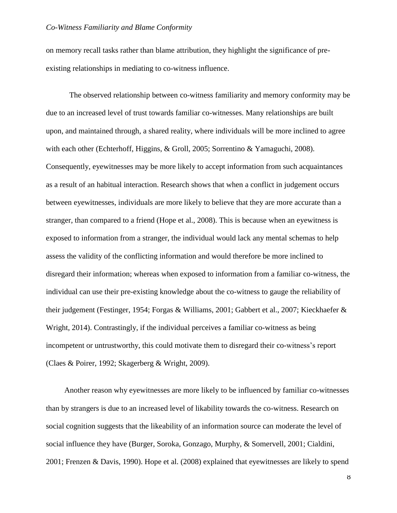on memory recall tasks rather than blame attribution, they highlight the significance of preexisting relationships in mediating to co-witness influence.

The observed relationship between co-witness familiarity and memory conformity may be due to an increased level of trust towards familiar co-witnesses. Many relationships are built upon, and maintained through, a shared reality, where individuals will be more inclined to agree with each other (Echterhoff, Higgins, & Groll, 2005; Sorrentino & Yamaguchi, 2008). Consequently, eyewitnesses may be more likely to accept information from such acquaintances as a result of an habitual interaction. Research shows that when a conflict in judgement occurs between eyewitnesses, individuals are more likely to believe that they are more accurate than a stranger, than compared to a friend (Hope et al., 2008). This is because when an eyewitness is exposed to information from a stranger, the individual would lack any mental schemas to help assess the validity of the conflicting information and would therefore be more inclined to disregard their information; whereas when exposed to information from a familiar co-witness, the individual can use their pre-existing knowledge about the co-witness to gauge the reliability of their judgement (Festinger, 1954; Forgas & Williams, 2001; Gabbert et al., 2007; Kieckhaefer & Wright, 2014). Contrastingly, if the individual perceives a familiar co-witness as being incompetent or untrustworthy, this could motivate them to disregard their co-witness's report (Claes & Poirer, 1992; Skagerberg & Wright, 2009).

Another reason why eyewitnesses are more likely to be influenced by familiar co-witnesses than by strangers is due to an increased level of likability towards the co-witness. Research on social cognition suggests that the likeability of an information source can moderate the level of social influence they have (Burger, Soroka, Gonzago, Murphy, & Somervell, 2001; Cialdini, 2001; Frenzen & Davis, 1990). Hope et al. (2008) explained that eyewitnesses are likely to spend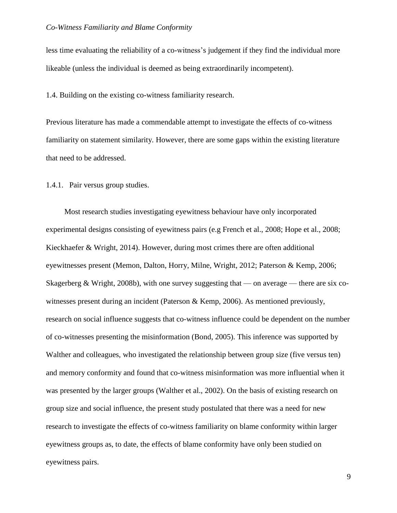less time evaluating the reliability of a co-witness's judgement if they find the individual more likeable (unless the individual is deemed as being extraordinarily incompetent).

1.4. Building on the existing co-witness familiarity research.

Previous literature has made a commendable attempt to investigate the effects of co-witness familiarity on statement similarity. However, there are some gaps within the existing literature that need to be addressed.

1.4.1. Pair versus group studies.

Most research studies investigating eyewitness behaviour have only incorporated experimental designs consisting of eyewitness pairs (e.g French et al., 2008; Hope et al., 2008; Kieckhaefer & Wright, 2014). However, during most crimes there are often additional eyewitnesses present (Memon, Dalton, Horry, Milne, Wright, 2012; Paterson & Kemp, 2006; Skagerberg & Wright, 2008b), with one survey suggesting that — on average — there are six cowitnesses present during an incident (Paterson & Kemp, 2006). As mentioned previously, research on social influence suggests that co-witness influence could be dependent on the number of co-witnesses presenting the misinformation (Bond, 2005). This inference was supported by Walther and colleagues, who investigated the relationship between group size (five versus ten) and memory conformity and found that co-witness misinformation was more influential when it was presented by the larger groups (Walther et al., 2002). On the basis of existing research on group size and social influence, the present study postulated that there was a need for new research to investigate the effects of co-witness familiarity on blame conformity within larger eyewitness groups as, to date, the effects of blame conformity have only been studied on eyewitness pairs.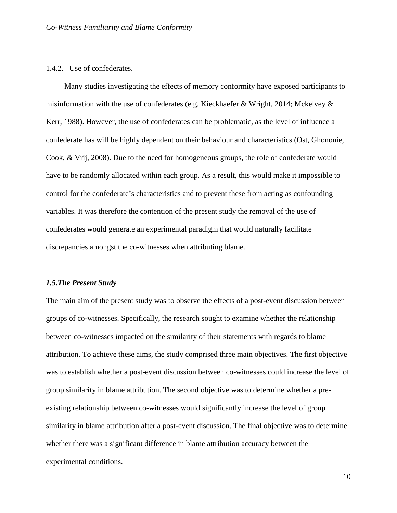#### 1.4.2. Use of confederates.

Many studies investigating the effects of memory conformity have exposed participants to misinformation with the use of confederates (e.g. Kieckhaefer & Wright, 2014; Mckelvey  $\&$ Kerr, 1988). However, the use of confederates can be problematic, as the level of influence a confederate has will be highly dependent on their behaviour and characteristics (Ost, Ghonouie, Cook, & Vrij, 2008). Due to the need for homogeneous groups, the role of confederate would have to be randomly allocated within each group. As a result, this would make it impossible to control for the confederate's characteristics and to prevent these from acting as confounding variables. It was therefore the contention of the present study the removal of the use of confederates would generate an experimental paradigm that would naturally facilitate discrepancies amongst the co-witnesses when attributing blame.

#### *1.5.The Present Study*

The main aim of the present study was to observe the effects of a post-event discussion between groups of co-witnesses. Specifically, the research sought to examine whether the relationship between co-witnesses impacted on the similarity of their statements with regards to blame attribution. To achieve these aims, the study comprised three main objectives. The first objective was to establish whether a post-event discussion between co-witnesses could increase the level of group similarity in blame attribution. The second objective was to determine whether a preexisting relationship between co-witnesses would significantly increase the level of group similarity in blame attribution after a post-event discussion. The final objective was to determine whether there was a significant difference in blame attribution accuracy between the experimental conditions.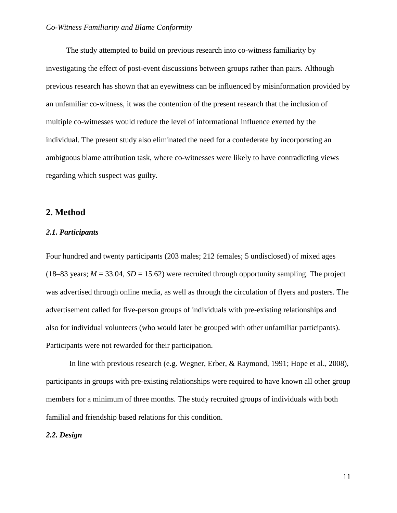The study attempted to build on previous research into co-witness familiarity by investigating the effect of post-event discussions between groups rather than pairs. Although previous research has shown that an eyewitness can be influenced by misinformation provided by an unfamiliar co-witness, it was the contention of the present research that the inclusion of multiple co-witnesses would reduce the level of informational influence exerted by the individual. The present study also eliminated the need for a confederate by incorporating an ambiguous blame attribution task, where co-witnesses were likely to have contradicting views regarding which suspect was guilty.

## **2. Method**

#### *2.1. Participants*

Four hundred and twenty participants (203 males; 212 females; 5 undisclosed) of mixed ages (18–83 years;  $M = 33.04$ ,  $SD = 15.62$ ) were recruited through opportunity sampling. The project was advertised through online media, as well as through the circulation of flyers and posters. The advertisement called for five-person groups of individuals with pre-existing relationships and also for individual volunteers (who would later be grouped with other unfamiliar participants). Participants were not rewarded for their participation.

In line with previous research (e.g. Wegner, Erber, & Raymond, 1991; Hope et al., 2008), participants in groups with pre-existing relationships were required to have known all other group members for a minimum of three months. The study recruited groups of individuals with both familial and friendship based relations for this condition.

#### *2.2. Design*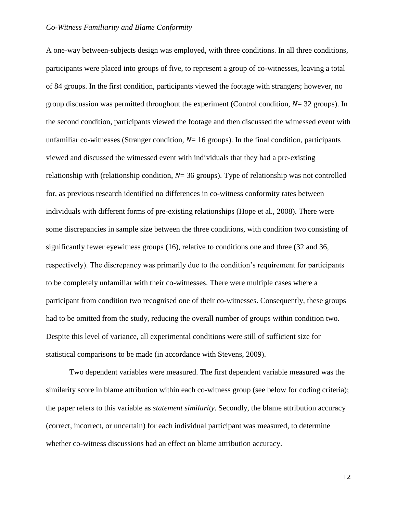A one-way between-subjects design was employed, with three conditions. In all three conditions, participants were placed into groups of five, to represent a group of co-witnesses, leaving a total of 84 groups. In the first condition, participants viewed the footage with strangers; however, no group discussion was permitted throughout the experiment (Control condition, *N*= 32 groups). In the second condition, participants viewed the footage and then discussed the witnessed event with unfamiliar co-witnesses (Stranger condition,  $N=16$  groups). In the final condition, participants viewed and discussed the witnessed event with individuals that they had a pre-existing relationship with (relationship condition, *N*= 36 groups). Type of relationship was not controlled for, as previous research identified no differences in co-witness conformity rates between individuals with different forms of pre-existing relationships (Hope et al., 2008). There were some discrepancies in sample size between the three conditions, with condition two consisting of significantly fewer eyewitness groups (16), relative to conditions one and three (32 and 36, respectively). The discrepancy was primarily due to the condition's requirement for participants to be completely unfamiliar with their co-witnesses. There were multiple cases where a participant from condition two recognised one of their co-witnesses. Consequently, these groups had to be omitted from the study, reducing the overall number of groups within condition two. Despite this level of variance, all experimental conditions were still of sufficient size for statistical comparisons to be made (in accordance with Stevens, 2009).

Two dependent variables were measured. The first dependent variable measured was the similarity score in blame attribution within each co-witness group (see below for coding criteria); the paper refers to this variable as *statement similarity*. Secondly, the blame attribution accuracy (correct, incorrect, or uncertain) for each individual participant was measured, to determine whether co-witness discussions had an effect on blame attribution accuracy.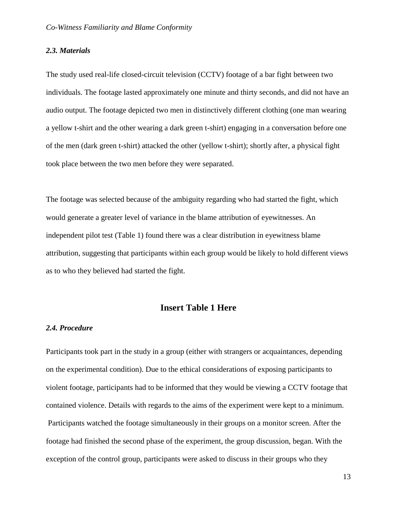#### *2.3. Materials*

The study used real-life closed-circuit television (CCTV) footage of a bar fight between two individuals. The footage lasted approximately one minute and thirty seconds, and did not have an audio output. The footage depicted two men in distinctively different clothing (one man wearing a yellow t-shirt and the other wearing a dark green t-shirt) engaging in a conversation before one of the men (dark green t-shirt) attacked the other (yellow t-shirt); shortly after, a physical fight took place between the two men before they were separated.

The footage was selected because of the ambiguity regarding who had started the fight, which would generate a greater level of variance in the blame attribution of eyewitnesses. An independent pilot test (Table 1) found there was a clear distribution in eyewitness blame attribution, suggesting that participants within each group would be likely to hold different views as to who they believed had started the fight.

## **Insert Table 1 Here**

### *2.4. Procedure*

Participants took part in the study in a group (either with strangers or acquaintances, depending on the experimental condition). Due to the ethical considerations of exposing participants to violent footage, participants had to be informed that they would be viewing a CCTV footage that contained violence. Details with regards to the aims of the experiment were kept to a minimum. Participants watched the footage simultaneously in their groups on a monitor screen. After the footage had finished the second phase of the experiment, the group discussion, began. With the exception of the control group, participants were asked to discuss in their groups who they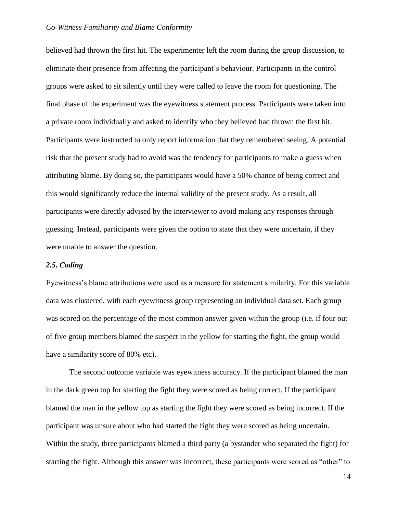believed had thrown the first hit. The experimenter left the room during the group discussion, to eliminate their presence from affecting the participant's behaviour. Participants in the control groups were asked to sit silently until they were called to leave the room for questioning. The final phase of the experiment was the eyewitness statement process. Participants were taken into a private room individually and asked to identify who they believed had thrown the first hit. Participants were instructed to only report information that they remembered seeing. A potential risk that the present study had to avoid was the tendency for participants to make a guess when attributing blame. By doing so, the participants would have a 50% chance of being correct and this would significantly reduce the internal validity of the present study. As a result, all participants were directly advised by the interviewer to avoid making any responses through guessing. Instead, participants were given the option to state that they were uncertain, if they were unable to answer the question.

#### *2.5. Coding*

Eyewitness's blame attributions were used as a measure for statement similarity. For this variable data was clustered, with each eyewitness group representing an individual data set. Each group was scored on the percentage of the most common answer given within the group (i.e. if four out of five group members blamed the suspect in the yellow for starting the fight, the group would have a similarity score of 80% etc).

The second outcome variable was eyewitness accuracy. If the participant blamed the man in the dark green top for starting the fight they were scored as being correct. If the participant blamed the man in the yellow top as starting the fight they were scored as being incorrect. If the participant was unsure about who had started the fight they were scored as being uncertain. Within the study, three participants blamed a third party (a bystander who separated the fight) for starting the fight. Although this answer was incorrect, these participants were scored as "other" to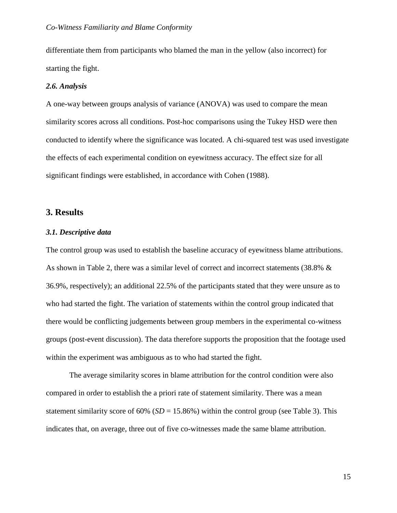differentiate them from participants who blamed the man in the yellow (also incorrect) for starting the fight.

#### *2.6. Analysis*

A one-way between groups analysis of variance (ANOVA) was used to compare the mean similarity scores across all conditions. Post-hoc comparisons using the Tukey HSD were then conducted to identify where the significance was located. A chi-squared test was used investigate the effects of each experimental condition on eyewitness accuracy. The effect size for all significant findings were established, in accordance with Cohen (1988).

## **3. Results**

#### *3.1. Descriptive data*

The control group was used to establish the baseline accuracy of eyewitness blame attributions. As shown in Table 2, there was a similar level of correct and incorrect statements (38.8% & 36.9%, respectively); an additional 22.5% of the participants stated that they were unsure as to who had started the fight. The variation of statements within the control group indicated that there would be conflicting judgements between group members in the experimental co-witness groups (post-event discussion). The data therefore supports the proposition that the footage used within the experiment was ambiguous as to who had started the fight.

The average similarity scores in blame attribution for the control condition were also compared in order to establish the a priori rate of statement similarity. There was a mean statement similarity score of  $60\%$  ( $SD = 15.86\%$ ) within the control group (see Table 3). This indicates that, on average, three out of five co-witnesses made the same blame attribution.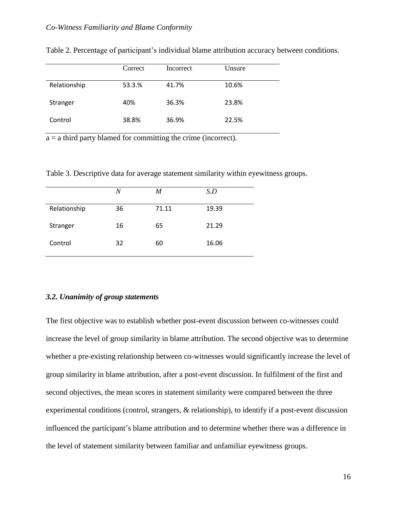|              | Correct | Incorrect | Unsure |
|--------------|---------|-----------|--------|
| Relationship | 53.3.%  | 41.7%     | 10.6%  |
| Stranger     | 40%     | 36.3%     | 23.8%  |
| Control      | 38.8%   | 36.9%     | 22.5%  |

Table 2. Percentage of participant's individual blame attribution accuracy between conditions.

 $a = a$  third party blamed for committing the crime (incorrect).

Table 3. Descriptive data for average statement similarity within eyewitness groups.

|              | $\boldsymbol{N}$ | M     | S.D   |
|--------------|------------------|-------|-------|
| Relationship | 36               | 71.11 | 19.39 |
| Stranger     | 16               | 65    | 21.29 |
| Control      | 32               | 60    | 16.06 |

#### *3.2. Unanimity of group statements*

The first objective was to establish whether post-event discussion between co-witnesses could increase the level of group similarity in blame attribution. The second objective was to determine whether a pre-existing relationship between co-witnesses would significantly increase the level of group similarity in blame attribution, after a post-event discussion. In fulfilment of the first and second objectives, the mean scores in statement similarity were compared between the three experimental conditions (control, strangers, & relationship), to identify if a post-event discussion influenced the participant's blame attribution and to determine whether there was a difference in the level of statement similarity between familiar and unfamiliar eyewitness groups.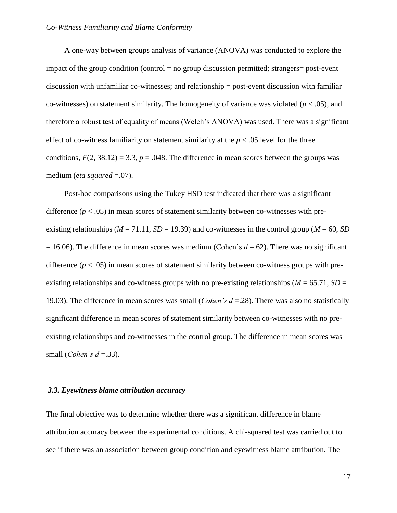A one-way between groups analysis of variance (ANOVA) was conducted to explore the impact of the group condition (control  $=$  no group discussion permitted; strangers $=$  post-event discussion with unfamiliar co-witnesses; and relationship = post-event discussion with familiar co-witnesses) on statement similarity. The homogeneity of variance was violated ( $p < .05$ ), and therefore a robust test of equality of means (Welch's ANOVA) was used. There was a significant effect of co-witness familiarity on statement similarity at the  $p < .05$  level for the three conditions,  $F(2, 38.12) = 3.3$ ,  $p = .048$ . The difference in mean scores between the groups was medium (*eta squared* = 0.07).

Post-hoc comparisons using the Tukey HSD test indicated that there was a significant difference  $(p < .05)$  in mean scores of statement similarity between co-witnesses with preexisting relationships ( $M = 71.11$ ,  $SD = 19.39$ ) and co-witnesses in the control group ( $M = 60$ , *SD*  $= 16.06$ ). The difference in mean scores was medium (Cohen's  $d = .62$ ). There was no significant difference  $(p < .05)$  in mean scores of statement similarity between co-witness groups with preexisting relationships and co-witness groups with no pre-existing relationships ( $M = 65.71$ ,  $SD =$ 19.03). The difference in mean scores was small (*Cohen's d* =.28). There was also no statistically significant difference in mean scores of statement similarity between co-witnesses with no preexisting relationships and co-witnesses in the control group. The difference in mean scores was small (*Cohen's d* =.33).

#### *3.3. Eyewitness blame attribution accuracy*

The final objective was to determine whether there was a significant difference in blame attribution accuracy between the experimental conditions. A chi-squared test was carried out to see if there was an association between group condition and eyewitness blame attribution. The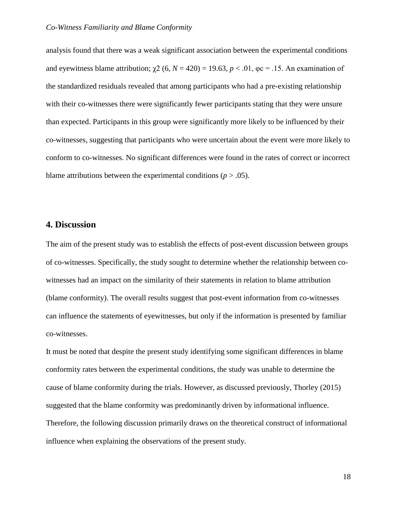analysis found that there was a weak significant association between the experimental conditions and eyewitness blame attribution;  $\gamma$ 2 (6, *N* = 420) = 19.63, *p* < .01,  $\varphi$ c = .15. An examination of the standardized residuals revealed that among participants who had a pre-existing relationship with their co-witnesses there were significantly fewer participants stating that they were unsure than expected. Participants in this group were significantly more likely to be influenced by their co-witnesses, suggesting that participants who were uncertain about the event were more likely to conform to co-witnesses. No significant differences were found in the rates of correct or incorrect blame attributions between the experimental conditions  $(p > .05)$ .

## **4. Discussion**

The aim of the present study was to establish the effects of post-event discussion between groups of co-witnesses. Specifically, the study sought to determine whether the relationship between cowitnesses had an impact on the similarity of their statements in relation to blame attribution (blame conformity). The overall results suggest that post-event information from co-witnesses can influence the statements of eyewitnesses, but only if the information is presented by familiar co-witnesses.

It must be noted that despite the present study identifying some significant differences in blame conformity rates between the experimental conditions, the study was unable to determine the cause of blame conformity during the trials. However, as discussed previously, Thorley (2015) suggested that the blame conformity was predominantly driven by informational influence. Therefore, the following discussion primarily draws on the theoretical construct of informational influence when explaining the observations of the present study.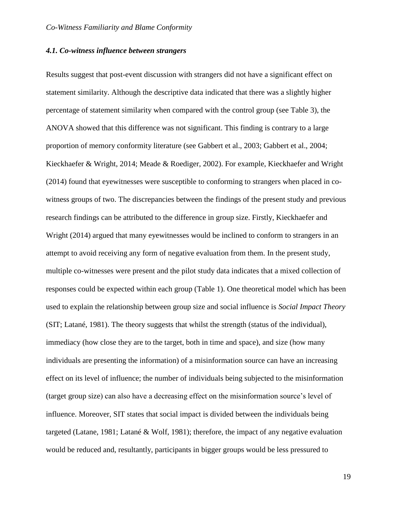#### *4.1. Co-witness influence between strangers*

Results suggest that post-event discussion with strangers did not have a significant effect on statement similarity. Although the descriptive data indicated that there was a slightly higher percentage of statement similarity when compared with the control group (see Table 3), the ANOVA showed that this difference was not significant. This finding is contrary to a large proportion of memory conformity literature (see Gabbert et al., 2003; Gabbert et al., 2004; Kieckhaefer & Wright, 2014; Meade & Roediger, 2002). For example, Kieckhaefer and Wright (2014) found that eyewitnesses were susceptible to conforming to strangers when placed in cowitness groups of two. The discrepancies between the findings of the present study and previous research findings can be attributed to the difference in group size. Firstly, Kieckhaefer and Wright (2014) argued that many eyewitnesses would be inclined to conform to strangers in an attempt to avoid receiving any form of negative evaluation from them. In the present study, multiple co-witnesses were present and the pilot study data indicates that a mixed collection of responses could be expected within each group (Table 1). One theoretical model which has been used to explain the relationship between group size and social influence is *Social Impact Theory* (SIT; Latané, 1981). The theory suggests that whilst the strength (status of the individual), immediacy (how close they are to the target, both in time and space), and size (how many individuals are presenting the information) of a misinformation source can have an increasing effect on its level of influence; the number of individuals being subjected to the misinformation (target group size) can also have a decreasing effect on the misinformation source's level of influence. Moreover, SIT states that social impact is divided between the individuals being targeted (Latane, 1981; Latané & Wolf, 1981); therefore, the impact of any negative evaluation would be reduced and, resultantly, participants in bigger groups would be less pressured to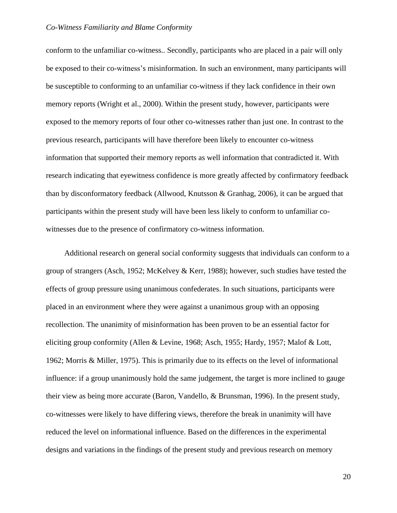conform to the unfamiliar co-witness.. Secondly, participants who are placed in a pair will only be exposed to their co-witness's misinformation. In such an environment, many participants will be susceptible to conforming to an unfamiliar co-witness if they lack confidence in their own memory reports (Wright et al., 2000). Within the present study, however, participants were exposed to the memory reports of four other co-witnesses rather than just one. In contrast to the previous research, participants will have therefore been likely to encounter co-witness information that supported their memory reports as well information that contradicted it. With research indicating that eyewitness confidence is more greatly affected by confirmatory feedback than by disconformatory feedback (Allwood, Knutsson & Granhag, 2006), it can be argued that participants within the present study will have been less likely to conform to unfamiliar cowitnesses due to the presence of confirmatory co-witness information.

Additional research on general social conformity suggests that individuals can conform to a group of strangers (Asch, 1952; McKelvey & Kerr, 1988); however, such studies have tested the effects of group pressure using unanimous confederates. In such situations, participants were placed in an environment where they were against a unanimous group with an opposing recollection. The unanimity of misinformation has been proven to be an essential factor for eliciting group conformity (Allen & Levine, 1968; Asch, 1955; Hardy, 1957; Malof & Lott, 1962; Morris & Miller, 1975). This is primarily due to its effects on the level of informational influence: if a group unanimously hold the same judgement, the target is more inclined to gauge their view as being more accurate (Baron, Vandello, & Brunsman, 1996). In the present study, co-witnesses were likely to have differing views, therefore the break in unanimity will have reduced the level on informational influence. Based on the differences in the experimental designs and variations in the findings of the present study and previous research on memory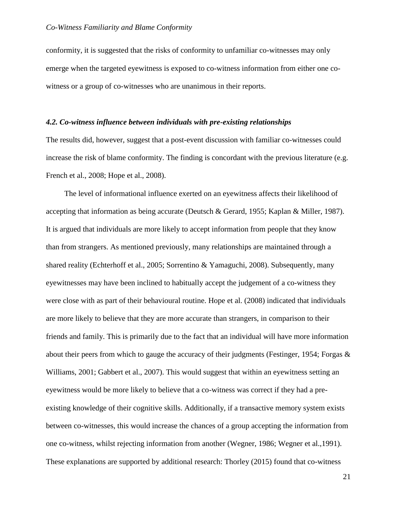conformity, it is suggested that the risks of conformity to unfamiliar co-witnesses may only emerge when the targeted eyewitness is exposed to co-witness information from either one cowitness or a group of co-witnesses who are unanimous in their reports.

#### *4.2. Co-witness influence between individuals with pre-existing relationships*

The results did, however, suggest that a post-event discussion with familiar co-witnesses could increase the risk of blame conformity. The finding is concordant with the previous literature (e.g. French et al., 2008; Hope et al., 2008).

The level of informational influence exerted on an eyewitness affects their likelihood of accepting that information as being accurate (Deutsch & Gerard, 1955; Kaplan & Miller, 1987). It is argued that individuals are more likely to accept information from people that they know than from strangers. As mentioned previously, many relationships are maintained through a shared reality (Echterhoff et al., 2005; Sorrentino & Yamaguchi, 2008). Subsequently, many eyewitnesses may have been inclined to habitually accept the judgement of a co-witness they were close with as part of their behavioural routine. Hope et al. (2008) indicated that individuals are more likely to believe that they are more accurate than strangers, in comparison to their friends and family. This is primarily due to the fact that an individual will have more information about their peers from which to gauge the accuracy of their judgments (Festinger, 1954; Forgas & Williams, 2001; Gabbert et al., 2007). This would suggest that within an eyewitness setting an eyewitness would be more likely to believe that a co-witness was correct if they had a preexisting knowledge of their cognitive skills. Additionally, if a transactive memory system exists between co-witnesses, this would increase the chances of a group accepting the information from one co-witness, whilst rejecting information from another (Wegner, 1986; Wegner et al.,1991). These explanations are supported by additional research: Thorley (2015) found that co-witness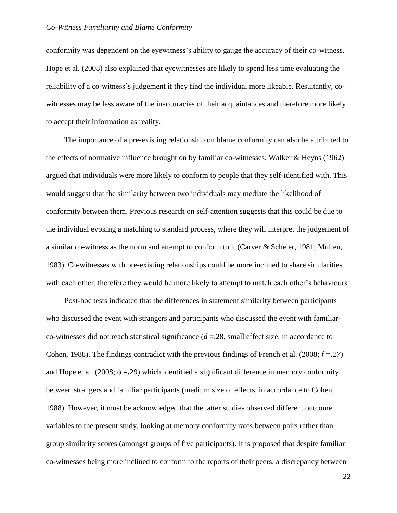conformity was dependent on the eyewitness's ability to gauge the accuracy of their co-witness. Hope et al. (2008) also explained that eyewitnesses are likely to spend less time evaluating the reliability of a co-witness's judgement if they find the individual more likeable. Resultantly, cowitnesses may be less aware of the inaccuracies of their acquaintances and therefore more likely to accept their information as reality.

The importance of a pre-existing relationship on blame conformity can also be attributed to the effects of normative influence brought on by familiar co-witnesses. Walker & Heyns (1962) argued that individuals were more likely to conform to people that they self-identified with. This would suggest that the similarity between two individuals may mediate the likelihood of conformity between them. Previous research on self-attention suggests that this could be due to the individual evoking a matching to standard process, where they will interpret the judgement of a similar co-witness as the norm and attempt to conform to it (Carver & Scheier, 1981; Mullen, 1983). Co-witnesses with pre-existing relationships could be more inclined to share similarities with each other, therefore they would be more likely to attempt to match each other's behaviours.

Post-hoc tests indicated that the differences in statement similarity between participants who discussed the event with strangers and participants who discussed the event with familiarco-witnesses did not reach statistical significance (*d* =.28, small effect size, in accordance to Cohen, 1988). The findings contradict with the previous findings of French et al. (2008; *f =.27*) and Hope et al. (2008;  $\phi = 29$ ) which identified a significant difference in memory conformity between strangers and familiar participants (medium size of effects, in accordance to Cohen, 1988). However, it must be acknowledged that the latter studies observed different outcome variables to the present study, looking at memory conformity rates between pairs rather than group similarity scores (amongst groups of five participants). It is proposed that despite familiar co-witnesses being more inclined to conform to the reports of their peers, a discrepancy between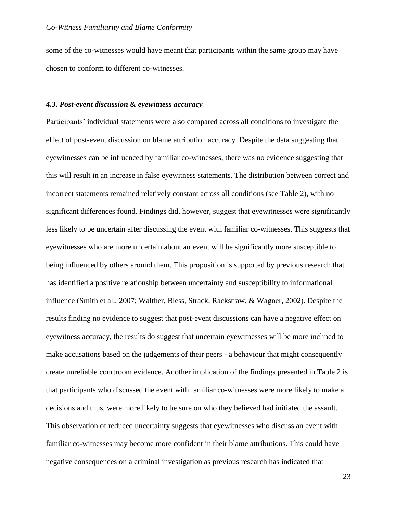some of the co-witnesses would have meant that participants within the same group may have chosen to conform to different co-witnesses.

#### *4.3. Post-event discussion & eyewitness accuracy*

Participants' individual statements were also compared across all conditions to investigate the effect of post-event discussion on blame attribution accuracy. Despite the data suggesting that eyewitnesses can be influenced by familiar co-witnesses, there was no evidence suggesting that this will result in an increase in false eyewitness statements. The distribution between correct and incorrect statements remained relatively constant across all conditions (see Table 2), with no significant differences found. Findings did, however, suggest that eyewitnesses were significantly less likely to be uncertain after discussing the event with familiar co-witnesses. This suggests that eyewitnesses who are more uncertain about an event will be significantly more susceptible to being influenced by others around them. This proposition is supported by previous research that has identified a positive relationship between uncertainty and susceptibility to informational influence (Smith et al., 2007; Walther, Bless, Strack, Rackstraw, & Wagner, 2002). Despite the results finding no evidence to suggest that post-event discussions can have a negative effect on eyewitness accuracy, the results do suggest that uncertain eyewitnesses will be more inclined to make accusations based on the judgements of their peers - a behaviour that might consequently create unreliable courtroom evidence. Another implication of the findings presented in Table 2 is that participants who discussed the event with familiar co-witnesses were more likely to make a decisions and thus, were more likely to be sure on who they believed had initiated the assault. This observation of reduced uncertainty suggests that eyewitnesses who discuss an event with familiar co-witnesses may become more confident in their blame attributions. This could have negative consequences on a criminal investigation as previous research has indicated that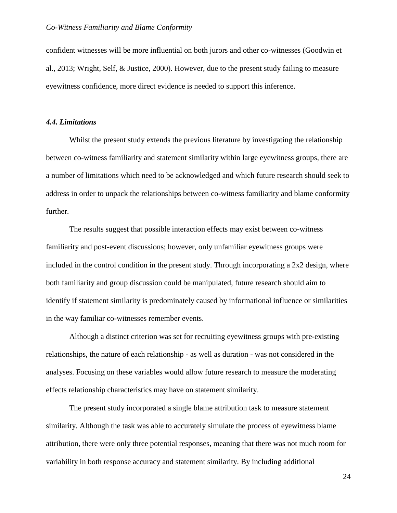confident witnesses will be more influential on both jurors and other co-witnesses (Goodwin et al., 2013; Wright, Self, & Justice, 2000). However, due to the present study failing to measure eyewitness confidence, more direct evidence is needed to support this inference.

## *4.4. Limitations*

Whilst the present study extends the previous literature by investigating the relationship between co-witness familiarity and statement similarity within large eyewitness groups, there are a number of limitations which need to be acknowledged and which future research should seek to address in order to unpack the relationships between co-witness familiarity and blame conformity further.

The results suggest that possible interaction effects may exist between co-witness familiarity and post-event discussions; however, only unfamiliar eyewitness groups were included in the control condition in the present study. Through incorporating a  $2x2$  design, where both familiarity and group discussion could be manipulated, future research should aim to identify if statement similarity is predominately caused by informational influence or similarities in the way familiar co-witnesses remember events.

Although a distinct criterion was set for recruiting eyewitness groups with pre-existing relationships, the nature of each relationship - as well as duration - was not considered in the analyses. Focusing on these variables would allow future research to measure the moderating effects relationship characteristics may have on statement similarity.

The present study incorporated a single blame attribution task to measure statement similarity. Although the task was able to accurately simulate the process of eyewitness blame attribution, there were only three potential responses, meaning that there was not much room for variability in both response accuracy and statement similarity. By including additional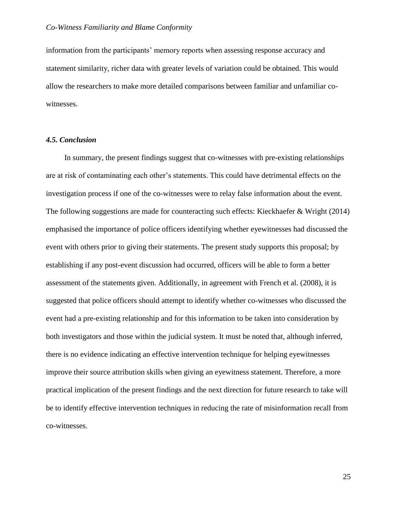information from the participants' memory reports when assessing response accuracy and statement similarity, richer data with greater levels of variation could be obtained. This would allow the researchers to make more detailed comparisons between familiar and unfamiliar cowitnesses.

#### *4.5. Conclusion*

In summary, the present findings suggest that co-witnesses with pre-existing relationships are at risk of contaminating each other's statements. This could have detrimental effects on the investigation process if one of the co-witnesses were to relay false information about the event. The following suggestions are made for counteracting such effects: Kieckhaefer & Wright (2014) emphasised the importance of police officers identifying whether eyewitnesses had discussed the event with others prior to giving their statements. The present study supports this proposal; by establishing if any post-event discussion had occurred, officers will be able to form a better assessment of the statements given. Additionally, in agreement with French et al. (2008), it is suggested that police officers should attempt to identify whether co-witnesses who discussed the event had a pre-existing relationship and for this information to be taken into consideration by both investigators and those within the judicial system. It must be noted that, although inferred, there is no evidence indicating an effective intervention technique for helping eyewitnesses improve their source attribution skills when giving an eyewitness statement. Therefore, a more practical implication of the present findings and the next direction for future research to take will be to identify effective intervention techniques in reducing the rate of misinformation recall from co-witnesses.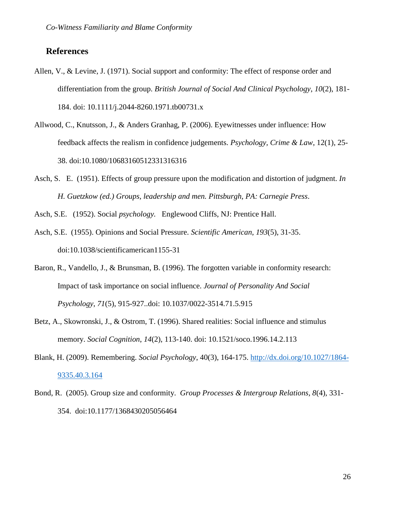## **References**

- Allen, V., & Levine, J. (1971). Social support and conformity: The effect of response order and differentiation from the group. *British Journal of Social And Clinical Psychology*, *10*(2), 181- 184. doi: 10.1111/j.2044-8260.1971.tb00731.x
- Allwood, C., Knutsson, J., & Anders Granhag, P. (2006). Eyewitnesses under influence: How feedback affects the realism in confidence judgements. *Psychology, Crime & Law*, 12(1), 25- 38. doi:10.1080/10683160512331316316
- Asch, S. E. (1951). Effects of group pressure upon the modification and distortion of judgment. *In H. Guetzkow (ed.) Groups, leadership and men. Pittsburgh, PA: Carnegie Press*.

Asch, S.E. (1952). Social *psychology.* Englewood Cliffs, NJ: Prentice Hall.

- Asch, S.E. (1955). Opinions and Social Pressure. *Scientific American*, *193*(5), 31-35. doi:10.1038/scientificamerican1155-31
- Baron, R., Vandello, J., & Brunsman, B. (1996). The forgotten variable in conformity research: Impact of task importance on social influence. *Journal of Personality And Social Psychology*, *71*(5), 915-927..doi: 10.1037/0022-3514.71.5.915
- Betz, A., Skowronski, J., & Ostrom, T. (1996). Shared realities: Social influence and stimulus memory. *Social Cognition*, *14*(2), 113-140. doi: 10.1521/soco.1996.14.2.113
- Blank, H. (2009). Remembering. *Social Psychology*, 40(3), 164-175. [http://dx.doi.org/10.1027/1864-](http://dx.doi.org/10.1027/1864-9335.40.3.164) [9335.40.3.164](http://dx.doi.org/10.1027/1864-9335.40.3.164)
- Bond, R. (2005). Group size and conformity. *Group Processes & Intergroup Relations, 8*(4), 331- 354. doi:10.1177/1368430205056464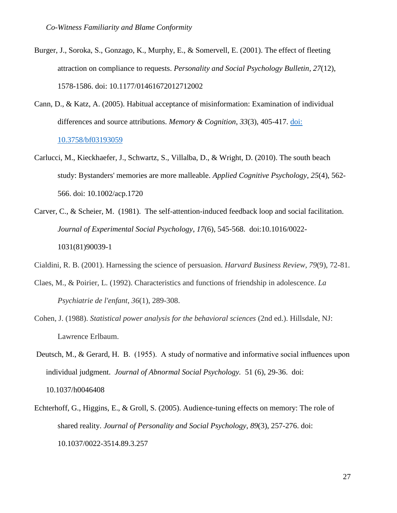- Burger, J., Soroka, S., Gonzago, K., Murphy, E., & Somervell, E. (2001). The effect of fleeting attraction on compliance to requests. *Personality and Social Psychology Bulletin*, *27*(12), 1578-1586. doi: 10.1177/01461672012712002
- Cann, D., & Katz, A. (2005). Habitual acceptance of misinformation: Examination of individual differences and source attributions. *Memory & Cognition*, *33*(3), 405-417. [doi:](http://dx.doi.org/10.3758/bf03193059)  [10.3758/bf03193059](http://dx.doi.org/10.3758/bf03193059)
- Carlucci, M., Kieckhaefer, J., Schwartz, S., Villalba, D., & Wright, D. (2010). The south beach study: Bystanders' memories are more malleable. *Applied Cognitive Psychology*, *25*(4), 562- 566. doi: 10.1002/acp.1720
- Carver, C., & Scheier, M. (1981). The self-attention-induced feedback loop and social facilitation. *Journal of Experimental Social Psychology*, *17*(6), 545-568. doi:10.1016/0022- 1031(81)90039-1

Cialdini, R. B. (2001). Harnessing the science of persuasion. *Harvard Business Review*, *79*(9), 72-81.

- Claes, M., & Poirier, L. (1992). Characteristics and functions of friendship in adolescence. *La Psychiatrie de l'enfant*, *36*(1), 289-308.
- Cohen, J. (1988). *Statistical power analysis for the behavioral sciences* (2nd ed.). Hillsdale, NJ: Lawrence Erlbaum.
- Deutsch, M., & Gerard, H. B. (1955). A study of normative and informative social influences upon individual judgment. *Journal of Abnormal Social Psychology.* 51 (6), 29-36. doi: 10.1037/h0046408
- Echterhoff, G., Higgins, E., & Groll, S. (2005). Audience-tuning effects on memory: The role of shared reality. *Journal of Personality and Social Psychology*, *89*(3), 257-276. doi: 10.1037/0022-3514.89.3.257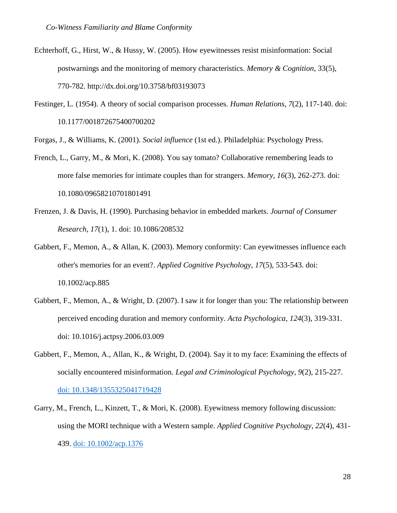- Echterhoff, G., Hirst, W., & Hussy, W. (2005). How eyewitnesses resist misinformation: Social postwarnings and the monitoring of memory characteristics. *Memory & Cognition*, 33(5), 770-782. http://dx.doi.org/10.3758/bf03193073
- Festinger, L. (1954). A theory of social comparison processes. *Human Relations*, *7*(2), 117-140. doi: 10.1177/001872675400700202

Forgas, J., & Williams, K. (2001). *Social influence* (1st ed.). Philadelphia: Psychology Press.

- French, L., Garry, M., & Mori, K. (2008). You say tomato? Collaborative remembering leads to more false memories for intimate couples than for strangers. *Memory*, *16*(3), 262-273. doi: 10.1080/09658210701801491
- Frenzen, J. & Davis, H. (1990). Purchasing behavior in embedded markets. *Journal of Consumer Research*, *17*(1), 1. doi: 10.1086/208532
- Gabbert, F., Memon, A., & Allan, K. (2003). Memory conformity: Can eyewitnesses influence each other's memories for an event?. *Applied Cognitive Psychology*, *17*(5), 533-543. doi: 10.1002/acp.885
- Gabbert, F., Memon, A., & Wright, D. (2007). I saw it for longer than you: The relationship between perceived encoding duration and memory conformity. *Acta Psychologica*, *124*(3), 319-331. doi: 10.1016/j.actpsy.2006.03.009
- Gabbert, F., Memon, A., Allan, K., & Wright, D. (2004). Say it to my face: Examining the effects of socially encountered misinformation. *Legal and Criminological Psychology*, *9*(2), 215-227. [doi: 10.1348/1355325041719428](http://dx.doi.org/10.1348/1355325041719428)
- Garry, M., French, L., Kinzett, T., & Mori, K. (2008). Eyewitness memory following discussion: using the MORI technique with a Western sample. *Applied Cognitive Psychology*, *22*(4), 431- 439. [doi: 10.1002/acp.1376](http://dx.doi.org/10.1002/acp.1376)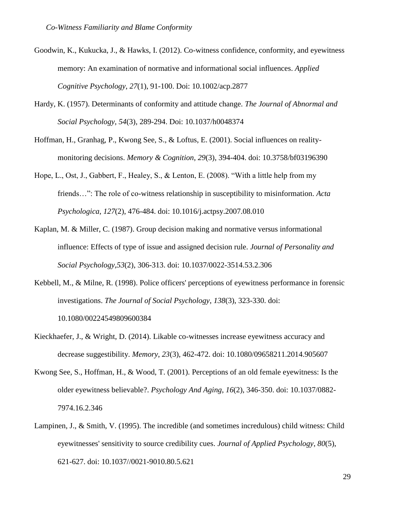- Goodwin, K., Kukucka, J., & Hawks, I. (2012). Co-witness confidence, conformity, and eyewitness memory: An examination of normative and informational social influences. *Applied Cognitive Psychology*, *27*(1), 91-100. Doi: 10.1002/acp.2877
- Hardy, K. (1957). Determinants of conformity and attitude change. *The Journal of Abnormal and Social Psychology*, *54*(3), 289-294. Doi: 10.1037/h0048374
- Hoffman, H., Granhag, P., Kwong See, S., & Loftus, E. (2001). Social influences on realitymonitoring decisions. *Memory & Cognition*, *29*(3), 394-404. doi: 10.3758/bf03196390
- Hope, L., Ost, J., Gabbert, F., Healey, S., & Lenton, E. (2008). "With a little help from my friends…": The role of co-witness relationship in susceptibility to misinformation. *Acta Psychologica*, *127*(2), 476-484. doi: 10.1016/j.actpsy.2007.08.010
- Kaplan, M. & Miller, C. (1987). Group decision making and normative versus informational influence: Effects of type of issue and assigned decision rule. *Journal of Personality and Social Psychology*,*53*(2), 306-313. doi: 10.1037/0022-3514.53.2.306
- Kebbell, M., & Milne, R. (1998). Police officers' perceptions of eyewitness performance in forensic investigations. *The Journal of Social Psychology*, *138*(3), 323-330. doi: 10.1080/00224549809600384
- Kieckhaefer, J., & Wright, D. (2014). Likable co-witnesses increase eyewitness accuracy and decrease suggestibility. *Memory*, *23*(3), 462-472. doi: 10.1080/09658211.2014.905607
- Kwong See, S., Hoffman, H., & Wood, T. (2001). Perceptions of an old female eyewitness: Is the older eyewitness believable?. *Psychology And Aging*, *16*(2), 346-350. doi: 10.1037/0882- 7974.16.2.346
- Lampinen, J., & Smith, V. (1995). The incredible (and sometimes incredulous) child witness: Child eyewitnesses' sensitivity to source credibility cues. *Journal of Applied Psychology*, *80*(5), 621-627. doi: 10.1037//0021-9010.80.5.621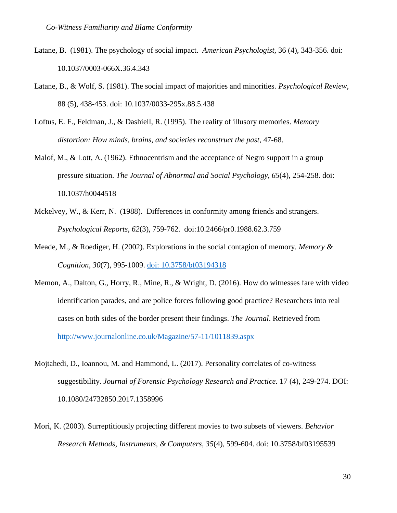- Latane, B. (1981). The psychology of social impact. *American Psychologist,* 36 (4), 343-356. doi: 10.1037/0003-066X.36.4.343
- Latane, B., & Wolf, S. (1981). The social impact of majorities and minorities*. Psychological Review*, 88 (5), 438-453. doi: 10.1037/0033-295x.88.5.438
- Loftus, E. F., Feldman, J., & Dashiell, R. (1995). The reality of illusory memories. *Memory distortion: How minds, brains, and societies reconstruct the past*, 47-68.
- Malof, M., & Lott, A. (1962). Ethnocentrism and the acceptance of Negro support in a group pressure situation. *The Journal of Abnormal and Social Psychology*, *65*(4), 254-258. doi: 10.1037/h0044518
- Mckelvey, W., & Kerr, N. (1988). Differences in conformity among friends and strangers. *Psychological Reports, 62*(3), 759-762. doi:10.2466/pr0.1988.62.3.759
- Meade, M., & Roediger, H. (2002). Explorations in the social contagion of memory. *Memory & Cognition*, *30*(7), 995-1009. [doi: 10.3758/bf03194318](http://dx.doi.org/10.3758/bf03194318)
- Memon, A., Dalton, G., Horry, R., Mine, R., & Wright, D. (2016). How do witnesses fare with video identification parades, and are police forces following good practice? Researchers into real cases on both sides of the border present their findings. *The Journal*. Retrieved from <http://www.journalonline.co.uk/Magazine/57-11/1011839.aspx>
- Mojtahedi, D., Ioannou, M. and Hammond, L. (2017). Personality correlates of co-witness suggestibility. *Journal of Forensic Psychology Research and Practice.* 17 (4), 249-274. DOI: 10.1080/24732850.2017.1358996
- Mori, K. (2003). Surreptitiously projecting different movies to two subsets of viewers. *Behavior Research Methods, Instruments, & Computers*, *35*(4), 599-604. doi: 10.3758/bf03195539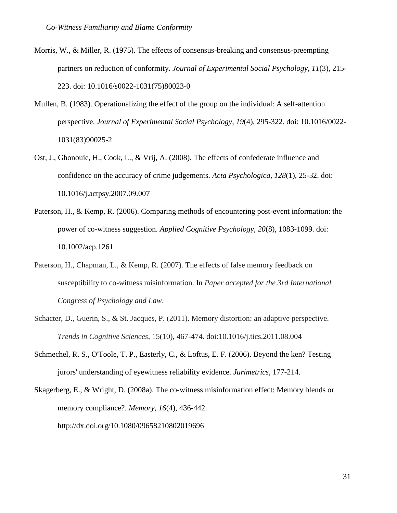- Morris, W., & Miller, R. (1975). The effects of consensus-breaking and consensus-preempting partners on reduction of conformity. *Journal of Experimental Social Psychology*, *11*(3), 215- 223. doi: 10.1016/s0022-1031(75)80023-0
- Mullen, B. (1983). Operationalizing the effect of the group on the individual: A self-attention perspective. *Journal of Experimental Social Psychology*, *19*(4), 295-322. doi: 10.1016/0022- 1031(83)90025-2
- Ost, J., Ghonouie, H., Cook, L., & Vrij, A. (2008). The effects of confederate influence and confidence on the accuracy of crime judgements. *Acta Psychologica*, *128*(1), 25-32. doi: 10.1016/j.actpsy.2007.09.007
- Paterson, H., & Kemp, R. (2006). Comparing methods of encountering post-event information: the power of co-witness suggestion. *Applied Cognitive Psychology*, *20*(8), 1083-1099. doi: 10.1002/acp.1261
- Paterson, H., Chapman, L., & Kemp, R. (2007). The effects of false memory feedback on susceptibility to co-witness misinformation. In *Paper accepted for the 3rd International Congress of Psychology and Law*.
- Schacter, D., Guerin, S., & St. Jacques, P. (2011). Memory distortion: an adaptive perspective. *Trends in Cognitive Sciences*, 15(10), 467-474. doi:10.1016/j.tics.2011.08.004
- Schmechel, R. S., O'Toole, T. P., Easterly, C., & Loftus, E. F. (2006). Beyond the ken? Testing jurors' understanding of eyewitness reliability evidence. *Jurimetrics*, 177-214.

Skagerberg, E., & Wright, D. (2008a). The co-witness misinformation effect: Memory blends or memory compliance?. *Memory*, *16*(4), 436-442. http://dx.doi.org/10.1080/09658210802019696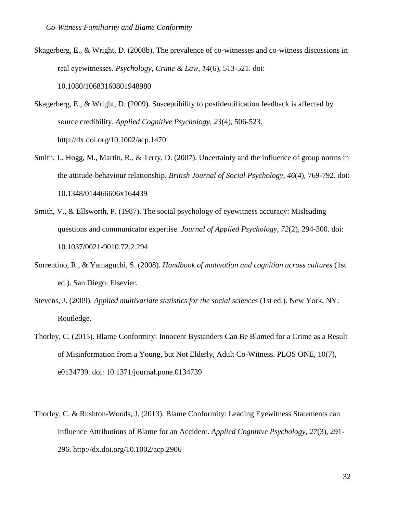- Skagerberg, E., & Wright, D. (2008b). The prevalence of co-witnesses and co-witness discussions in real eyewitnesses. *Psychology, Crime & Law*, *14*(6), 513-521. doi: 10.1080/10683160801948980
- Skagerberg, E., & Wright, D. (2009). Susceptibility to postidentification feedback is affected by source credibility. *Applied Cognitive Psychology*, *23*(4), 506-523. http://dx.doi.org/10.1002/acp.1470
- Smith, J., Hogg, M., Martin, R., & Terry, D. (2007). Uncertainty and the influence of group norms in the attitude-behaviour relationship. *British Journal of Social Psychology*, *46*(4), 769-792. doi: 10.1348/014466606x164439
- Smith, V., & Ellsworth, P. (1987). The social psychology of eyewitness accuracy: Misleading questions and communicator expertise. *Journal of Applied Psychology*, *72*(2), 294-300. doi: 10.1037/0021-9010.72.2.294
- Sorrentino, R., & Yamaguchi, S. (2008). *Handbook of motivation and cognition across cultures* (1st ed.). San Diego: Elsevier.
- Stevens, J. (2009). *Applied multivariate statistics for the social sciences* (1st ed.). New York, NY: Routledge.
- Thorley, C. (2015). Blame Conformity: Innocent Bystanders Can Be Blamed for a Crime as a Result of Misinformation from a Young, but Not Elderly, Adult Co-Witness. PLOS ONE, 10(7), e0134739. doi: 10.1371/journal.pone.0134739
- Thorley, C. & Rushton-Woods, J. (2013). Blame Conformity: Leading Eyewitness Statements can Influence Attributions of Blame for an Accident. *Applied Cognitive Psychology*, *27*(3), 291- 296. http://dx.doi.org/10.1002/acp.2906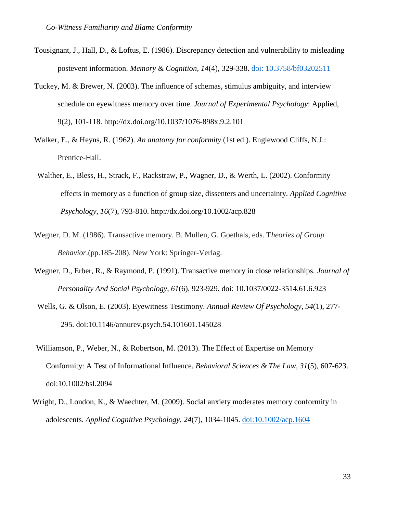- Tousignant, J., Hall, D., & Loftus, E. (1986). Discrepancy detection and vulnerability to misleading postevent information. *Memory & Cognition*, *14*(4), 329-338. [doi: 10.3758/bf03202511](http://dx.doi.org/10.3758/bf03202511)
- Tuckey, M. & Brewer, N. (2003). The influence of schemas, stimulus ambiguity, and interview schedule on eyewitness memory over time. *Journal of Experimental Psychology*: Applied, 9(2), 101-118. http://dx.doi.org/10.1037/1076-898x.9.2.101
- Walker, E., & Heyns, R. (1962). *An anatomy for conformity* (1st ed.). Englewood Cliffs, N.J.: Prentice-Hall.
- Walther, E., Bless, H., Strack, F., Rackstraw, P., Wagner, D., & Werth, L. (2002). Conformity effects in memory as a function of group size, dissenters and uncertainty. *Applied Cognitive Psychology*, *16*(7), 793-810. http://dx.doi.org/10.1002/acp.828
- Wegner, D. M. (1986). Transactive memory. B. Mullen, G. Goethals, eds. T*heories of Group Behavior*.(pp.185-208). New York: Springer-Verlag.
- Wegner, D., Erber, R., & Raymond, P. (1991). Transactive memory in close relationships. *Journal of Personality And Social Psychology*, *61*(6), 923-929. doi: 10.1037/0022-3514.61.6.923
- Wells, G. & Olson, E. (2003). Eyewitness Testimony. *Annual Review Of Psychology*, *54*(1), 277- 295. doi:10.1146/annurev.psych.54.101601.145028
- Williamson, P., Weber, N., & Robertson, M. (2013). The Effect of Expertise on Memory Conformity: A Test of Informational Influence. *Behavioral Sciences & The Law*, *31*(5), 607-623. doi:10.1002/bsl.2094
- Wright, D., London, K., & Waechter, M. (2009). Social anxiety moderates memory conformity in adolescents. *Applied Cognitive Psychology*, *24*(7), 1034-1045. [doi:10.1002/acp.1604](http://dx.doi.org/10.1002/acp.1604)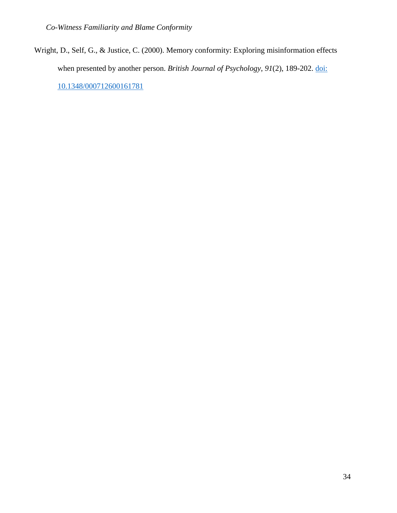Wright, D., Self, G., & Justice, C. (2000). Memory conformity: Exploring misinformation effects when presented by another person. *British Journal of Psychology*, *91*(2), 189-202. [doi:](http://dx.doi.org/10.1348/000712600161781)  [10.1348/000712600161781](http://dx.doi.org/10.1348/000712600161781)